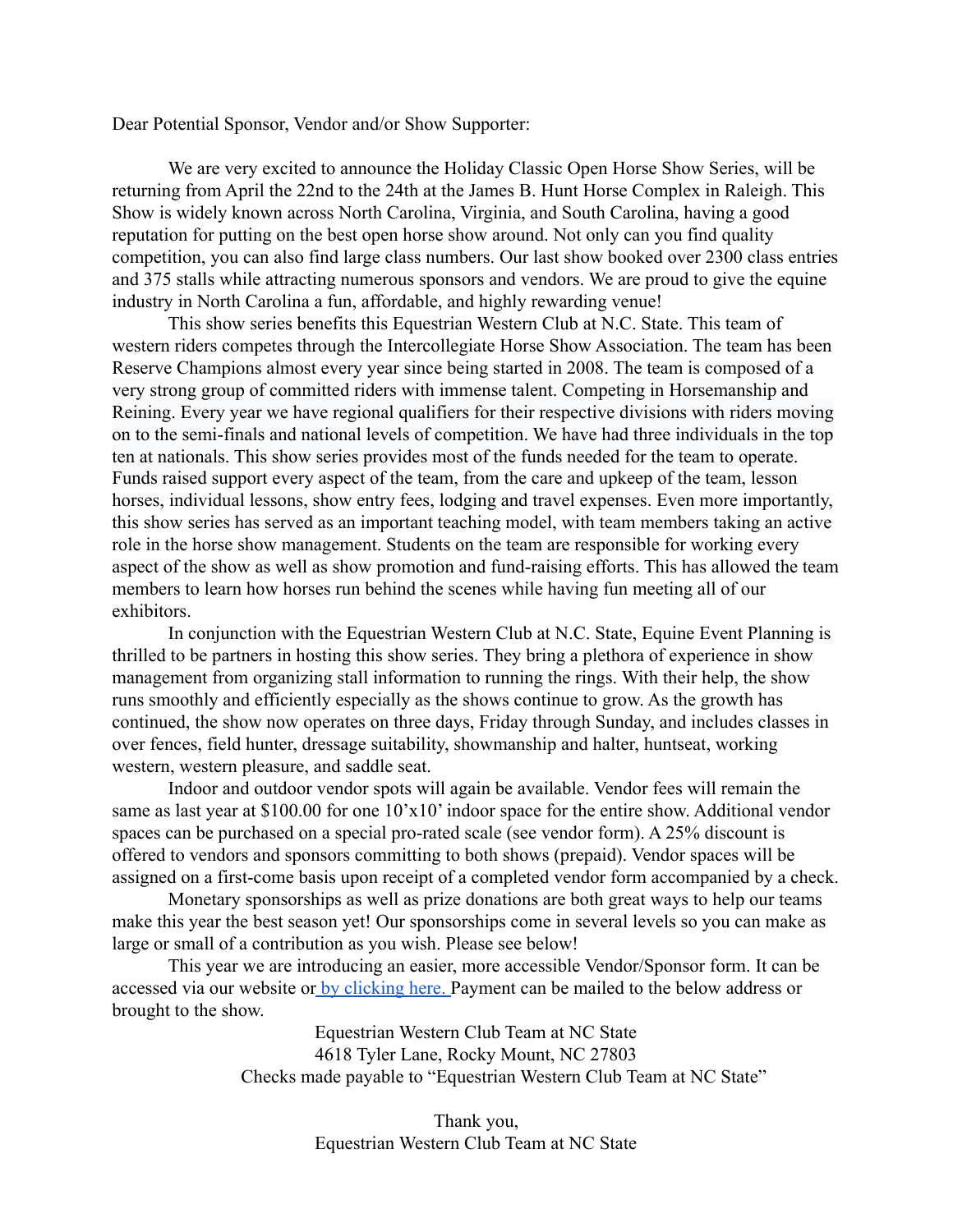Dear Potential Sponsor, Vendor and/or Show Supporter:

We are very excited to announce the Holiday Classic Open Horse Show Series, will be returning from April the 22nd to the 24th at the James B. Hunt Horse Complex in Raleigh. This Show is widely known across North Carolina, Virginia, and South Carolina, having a good reputation for putting on the best open horse show around. Not only can you find quality competition, you can also find large class numbers. Our last show booked over 2300 class entries and 375 stalls while attracting numerous sponsors and vendors. We are proud to give the equine industry in North Carolina a fun, affordable, and highly rewarding venue!

This show series benefits this Equestrian Western Club at N.C. State. This team of western riders competes through the Intercollegiate Horse Show Association. The team has been Reserve Champions almost every year since being started in 2008. The team is composed of a very strong group of committed riders with immense talent. Competing in Horsemanship and Reining. Every year we have regional qualifiers for their respective divisions with riders moving on to the semi-finals and national levels of competition. We have had three individuals in the top ten at nationals. This show series provides most of the funds needed for the team to operate. Funds raised support every aspect of the team, from the care and upkeep of the team, lesson horses, individual lessons, show entry fees, lodging and travel expenses. Even more importantly, this show series has served as an important teaching model, with team members taking an active role in the horse show management. Students on the team are responsible for working every aspect of the show as well as show promotion and fund-raising efforts. This has allowed the team members to learn how horses run behind the scenes while having fun meeting all of our exhibitors.

In conjunction with the Equestrian Western Club at N.C. State, Equine Event Planning is thrilled to be partners in hosting this show series. They bring a plethora of experience in show management from organizing stall information to running the rings. With their help, the show runs smoothly and efficiently especially as the shows continue to grow. As the growth has continued, the show now operates on three days, Friday through Sunday, and includes classes in over fences, field hunter, dressage suitability, showmanship and halter, huntseat, working western, western pleasure, and saddle seat.

Indoor and outdoor vendor spots will again be available. Vendor fees will remain the same as last year at \$100.00 for one 10'x10' indoor space for the entire show. Additional vendor spaces can be purchased on a special pro-rated scale (see vendor form). A 25% discount is offered to vendors and sponsors committing to both shows (prepaid). Vendor spaces will be assigned on a first-come basis upon receipt of a completed vendor form accompanied by a check.

Monetary sponsorships as well as prize donations are both great ways to help our teams make this year the best season yet! Our sponsorships come in several levels so you can make as large or small of a contribution as you wish. Please see below!

This year we are introducing an easier, more accessible Vendor/Sponsor form. It can be accessed via our website or [by clicking here.](https://forms.gle/feZJPSVXdi1pte137) Payment can be mailed to the below address or brought to the show.

> Equestrian Western Club Team at NC State 4618 Tyler Lane, Rocky Mount, NC 27803 Checks made payable to "Equestrian Western Club Team at NC State"

> > Thank you, Equestrian Western Club Team at NC State